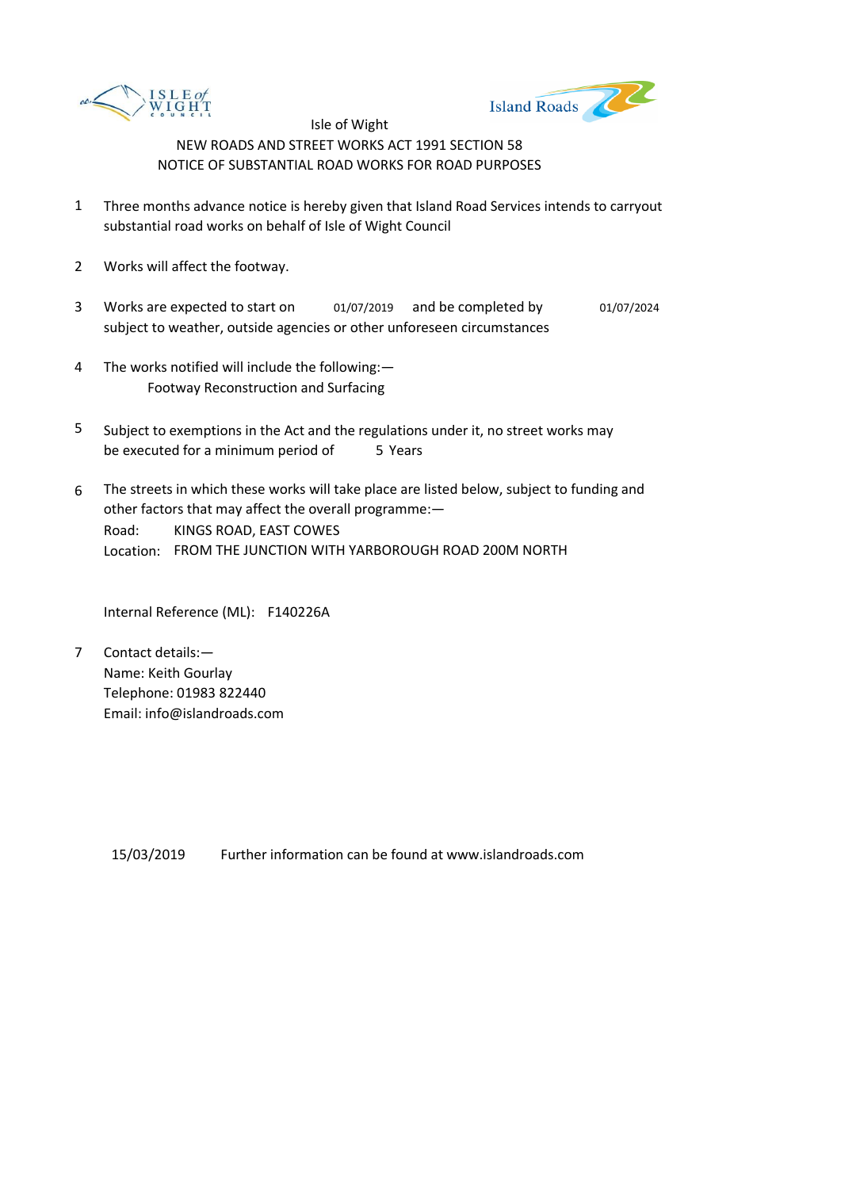



- 1 Three months advance notice is hereby given that Island Road Services intends to carryout substantial road works on behalf of Isle of Wight Council
- 2 Works will affect the footway.
- 3 Works are expected to start on and be completed by 01/07/2019 01/07/2024 subject to weather, outside agencies or other unforeseen circumstances
- 4 The works notified will include the following:— Footway Reconstruction and Surfacing
- 5 be executed for a minimum period of 5 Years Subject to exemptions in the Act and the regulations under it, no street works may
- 6 Road: Location: FROM THE JUNCTION WITH YARBOROUGH ROAD 200M NORTH The streets in which these works will take place are listed below, subject to funding and other factors that may affect the overall programme:— KINGS ROAD, EAST COWES

Internal Reference (ML): F140226A

7 Contact details:— Name: Keith Gourlay Telephone: 01983 822440 Email: info@islandroads.com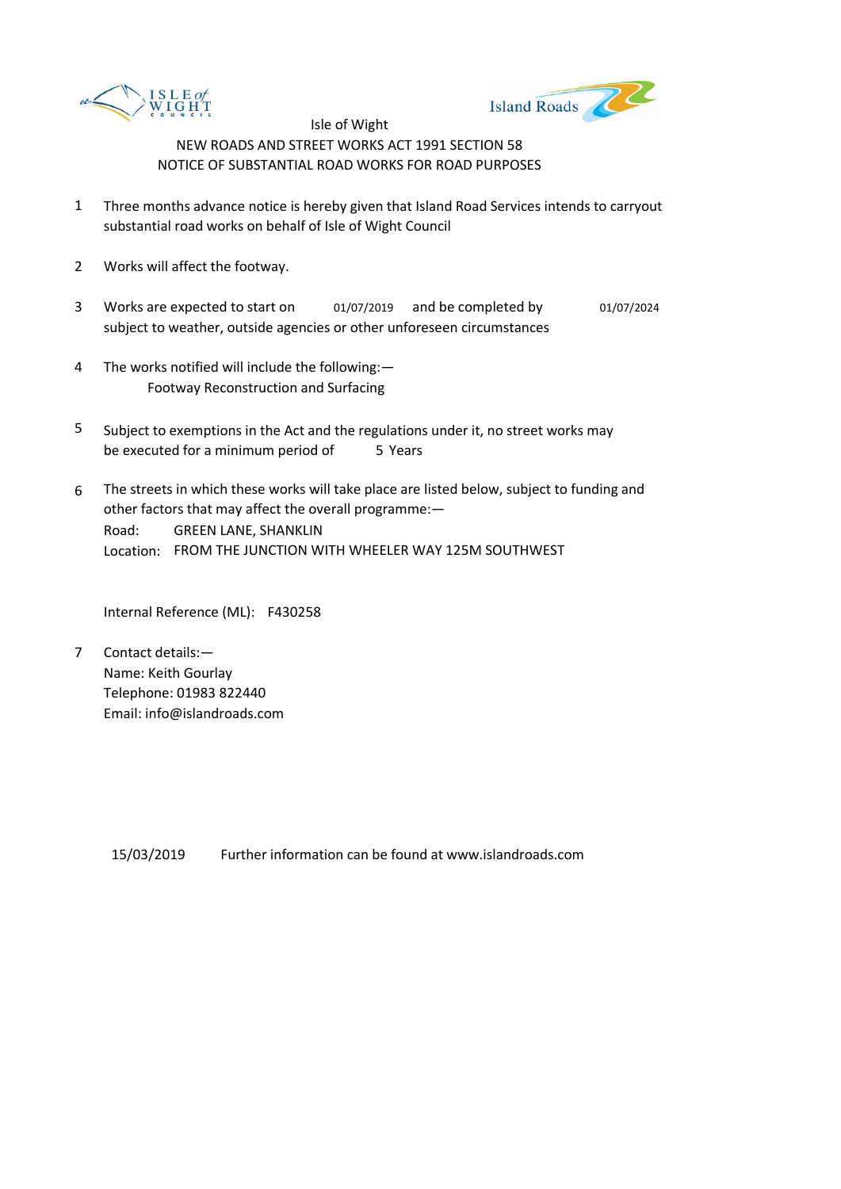



- 1 Three months advance notice is hereby given that Island Road Services intends to carryout substantial road works on behalf of Isle of Wight Council
- 2 Works will affect the footway.
- 3 Works are expected to start on and be completed by 01/07/2019 01/07/2024 subject to weather, outside agencies or other unforeseen circumstances
- 4 The works notified will include the following:— Footway Reconstruction and Surfacing
- 5 be executed for a minimum period of 5 Years Subject to exemptions in the Act and the regulations under it, no street works may
- 6 Road: Location: FROM THE JUNCTION WITH WHEELER WAY 125M SOUTHWEST The streets in which these works will take place are listed below, subject to funding and other factors that may affect the overall programme:— GREEN LANE, SHANKLIN

Internal Reference (ML): F430258

7 Contact details:— Name: Keith Gourlay Telephone: 01983 822440 Email: info@islandroads.com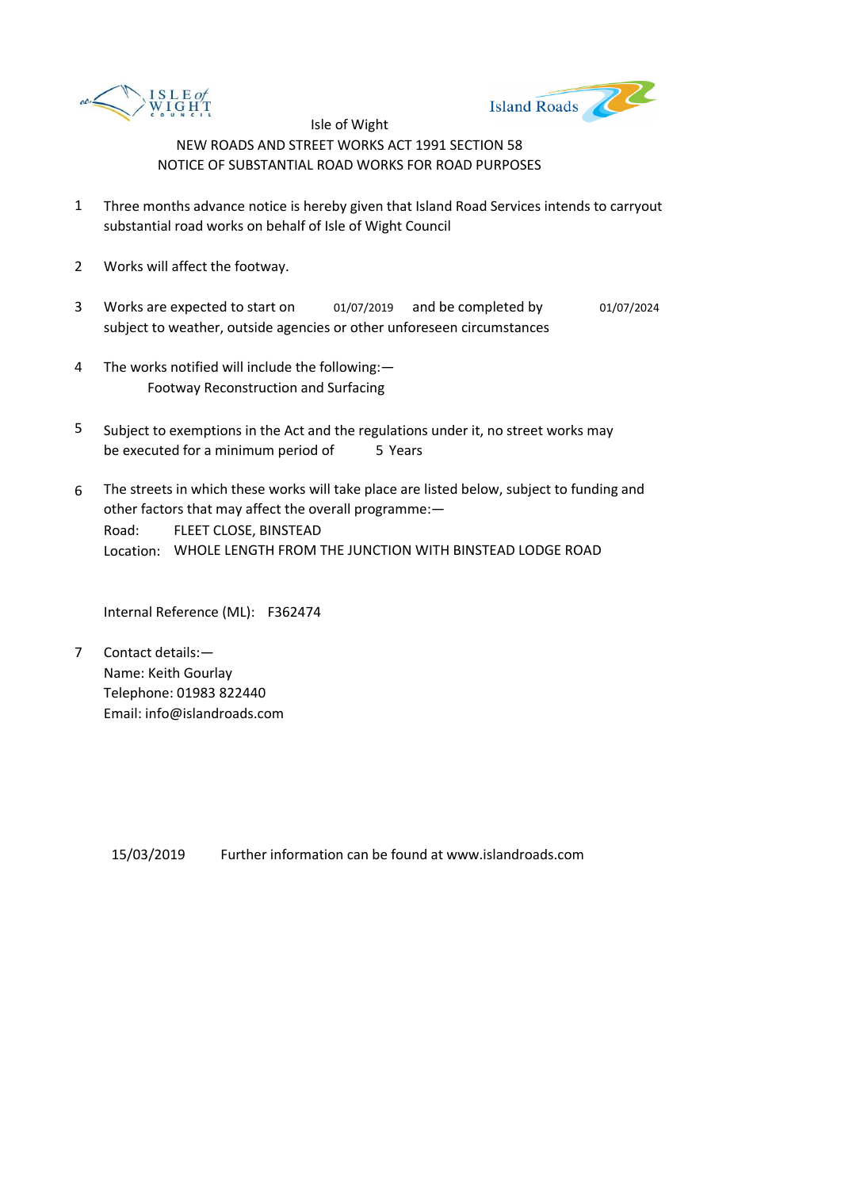



- 1 Three months advance notice is hereby given that Island Road Services intends to carryout substantial road works on behalf of Isle of Wight Council
- 2 Works will affect the footway.
- 3 Works are expected to start on and be completed by 01/07/2019 01/07/2024 subject to weather, outside agencies or other unforeseen circumstances
- 4 The works notified will include the following:— Footway Reconstruction and Surfacing
- 5 be executed for a minimum period of 5 Years Subject to exemptions in the Act and the regulations under it, no street works may
- 6 Road: Location: WHOLE LENGTH FROM THE JUNCTION WITH BINSTEAD LODGE ROAD The streets in which these works will take place are listed below, subject to funding and other factors that may affect the overall programme:— FLEET CLOSE, BINSTEAD

Internal Reference (ML): F362474

7 Contact details:— Name: Keith Gourlay Telephone: 01983 822440 Email: info@islandroads.com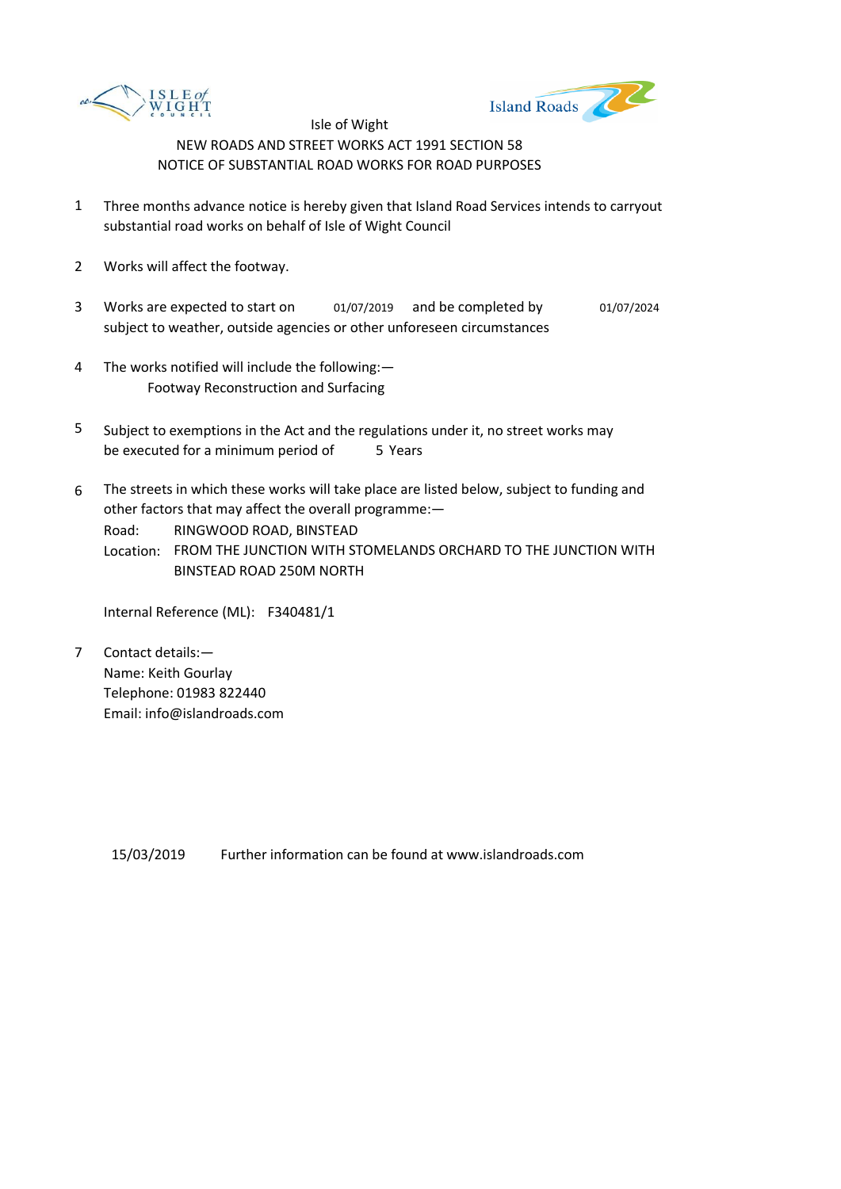



- 1 Three months advance notice is hereby given that Island Road Services intends to carryout substantial road works on behalf of Isle of Wight Council
- 2 Works will affect the footway.
- 3 Works are expected to start on and be completed by 01/07/2019 01/07/2024 subject to weather, outside agencies or other unforeseen circumstances
- 4 The works notified will include the following:— Footway Reconstruction and Surfacing
- 5 be executed for a minimum period of 5 Years Subject to exemptions in the Act and the regulations under it, no street works may
- 6 The streets in which these works will take place are listed below, subject to funding and other factors that may affect the overall programme:—

Road: RINGWOOD ROAD, BINSTEAD

Location: FROM THE JUNCTION WITH STOMELANDS ORCHARD TO THE JUNCTION WITH BINSTEAD ROAD 250M NORTH

Internal Reference (ML): F340481/1

7 Contact details:— Name: Keith Gourlay Telephone: 01983 822440 Email: info@islandroads.com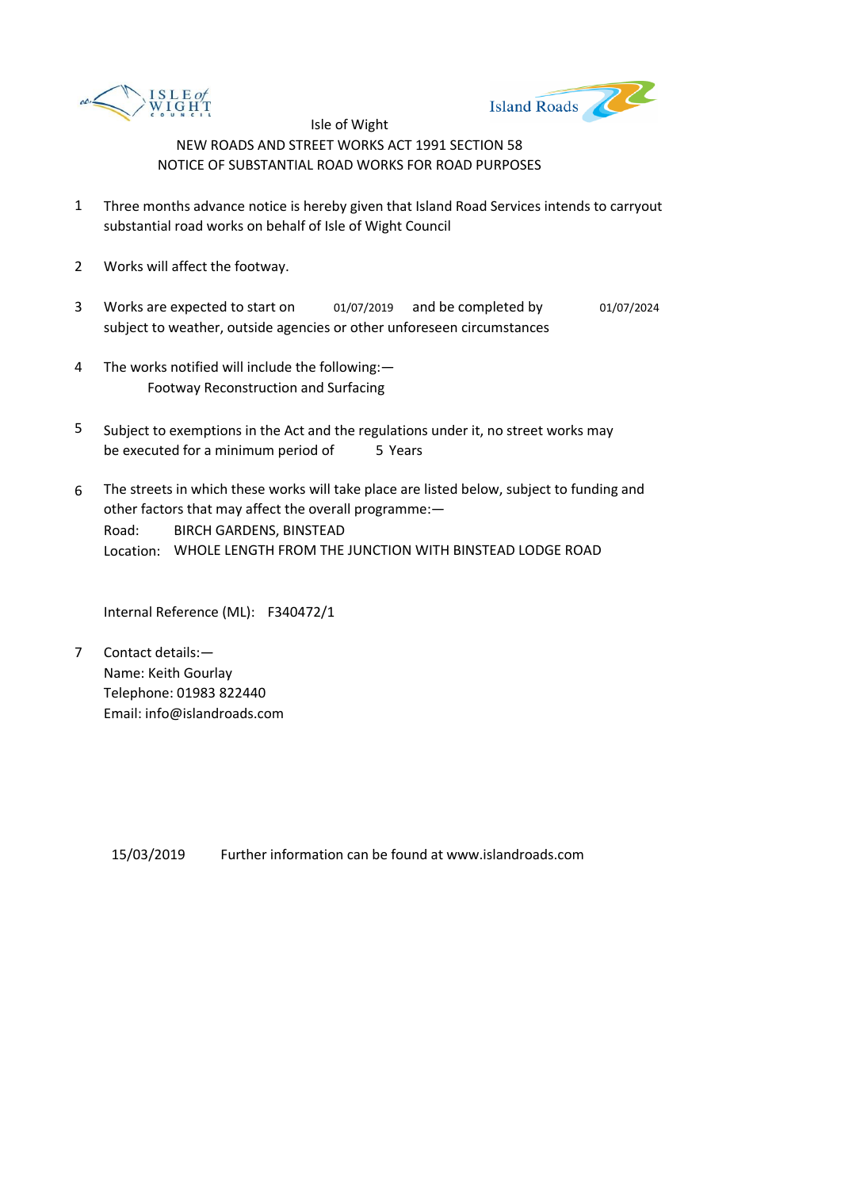



- 1 Three months advance notice is hereby given that Island Road Services intends to carryout substantial road works on behalf of Isle of Wight Council
- 2 Works will affect the footway.
- 3 Works are expected to start on and be completed by 01/07/2019 01/07/2024 subject to weather, outside agencies or other unforeseen circumstances
- 4 The works notified will include the following:— Footway Reconstruction and Surfacing
- 5 be executed for a minimum period of 5 Years Subject to exemptions in the Act and the regulations under it, no street works may
- 6 Road: Location: WHOLE LENGTH FROM THE JUNCTION WITH BINSTEAD LODGE ROAD The streets in which these works will take place are listed below, subject to funding and other factors that may affect the overall programme:— BIRCH GARDENS, BINSTEAD

Internal Reference (ML): F340472/1

7 Contact details:— Name: Keith Gourlay Telephone: 01983 822440 Email: info@islandroads.com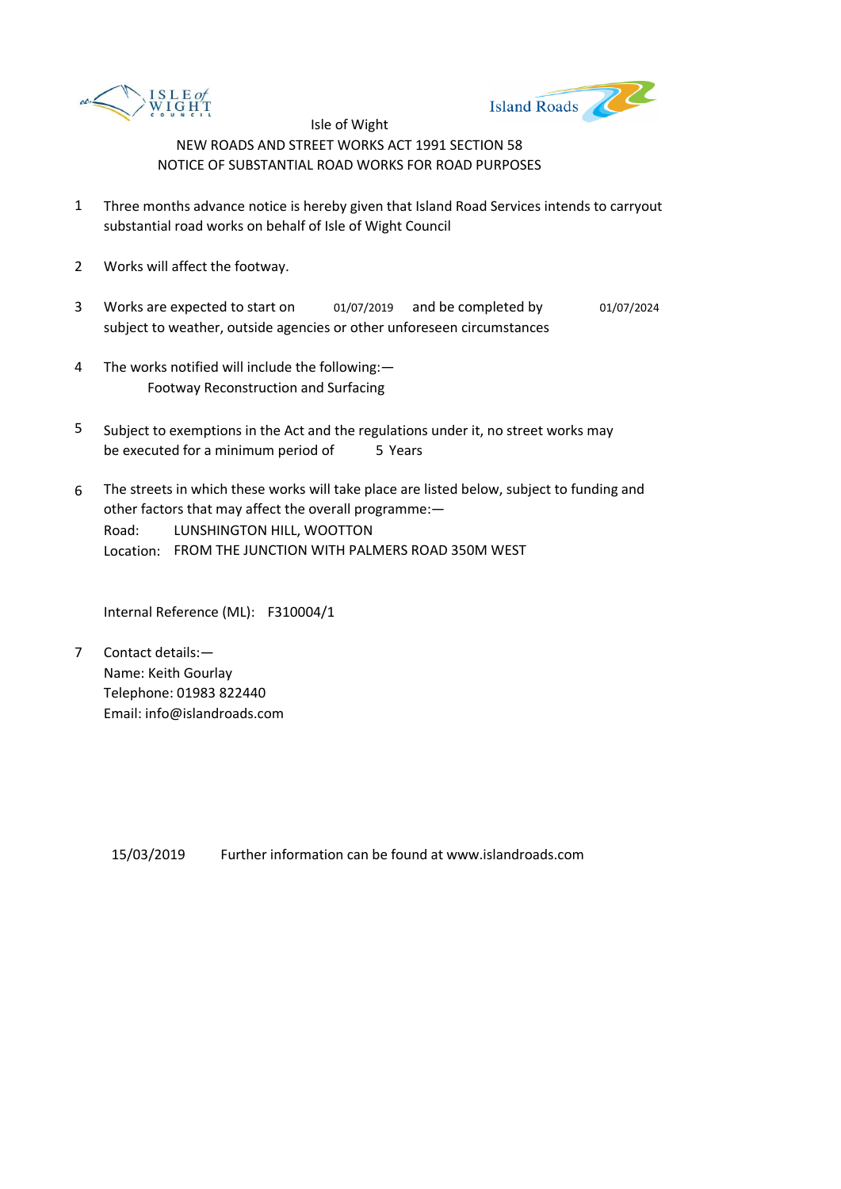



- 1 Three months advance notice is hereby given that Island Road Services intends to carryout substantial road works on behalf of Isle of Wight Council
- 2 Works will affect the footway.
- 3 Works are expected to start on and be completed by 01/07/2019 01/07/2024 subject to weather, outside agencies or other unforeseen circumstances
- 4 The works notified will include the following:— Footway Reconstruction and Surfacing
- 5 be executed for a minimum period of 5 Years Subject to exemptions in the Act and the regulations under it, no street works may
- 6 Road: Location: FROM THE JUNCTION WITH PALMERS ROAD 350M WEST The streets in which these works will take place are listed below, subject to funding and other factors that may affect the overall programme:— LUNSHINGTON HILL, WOOTTON

Internal Reference (ML): F310004/1

7 Contact details:— Name: Keith Gourlay Telephone: 01983 822440 Email: info@islandroads.com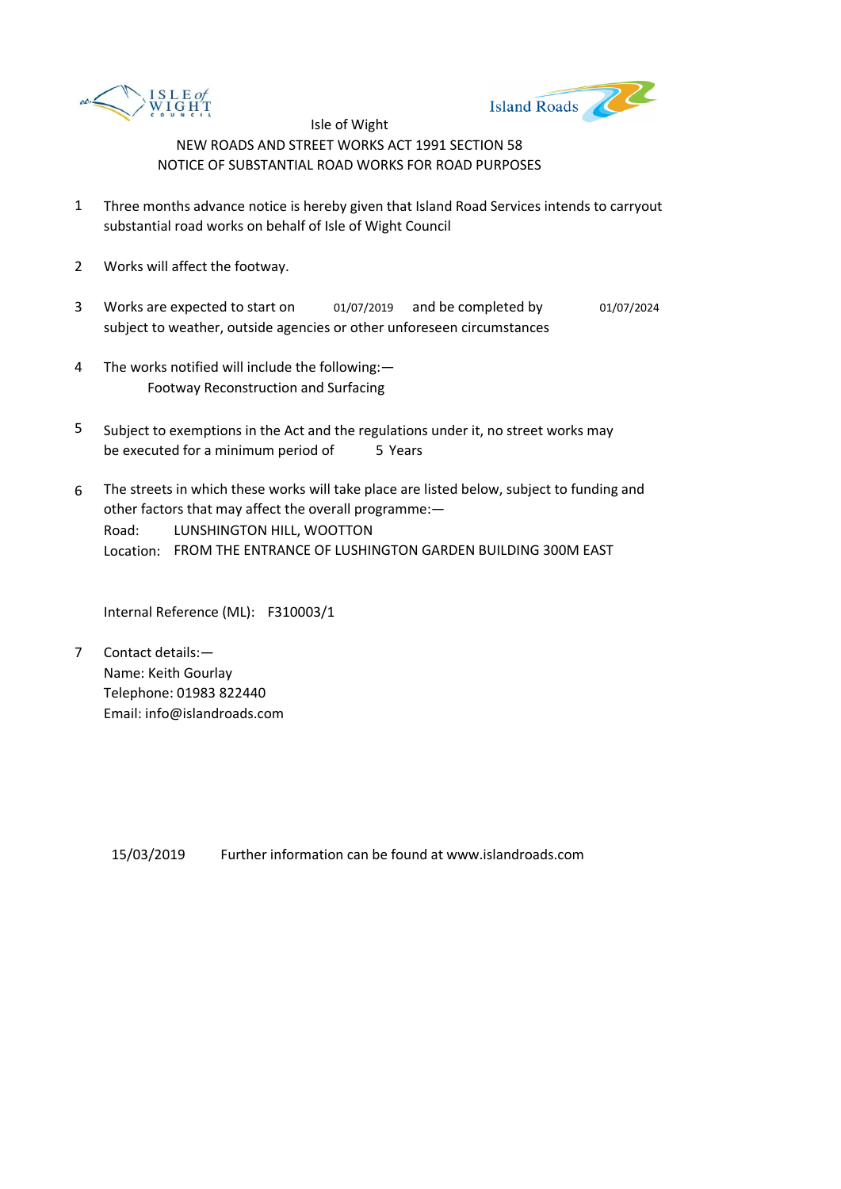



- 1 Three months advance notice is hereby given that Island Road Services intends to carryout substantial road works on behalf of Isle of Wight Council
- 2 Works will affect the footway.
- 3 Works are expected to start on and be completed by 01/07/2019 01/07/2024 subject to weather, outside agencies or other unforeseen circumstances
- 4 The works notified will include the following:— Footway Reconstruction and Surfacing
- 5 be executed for a minimum period of 5 Years Subject to exemptions in the Act and the regulations under it, no street works may
- 6 Road: Location: FROM THE ENTRANCE OF LUSHINGTON GARDEN BUILDING 300M EAST The streets in which these works will take place are listed below, subject to funding and other factors that may affect the overall programme:— LUNSHINGTON HILL, WOOTTON

Internal Reference (ML): F310003/1

7 Contact details:— Name: Keith Gourlay Telephone: 01983 822440 Email: info@islandroads.com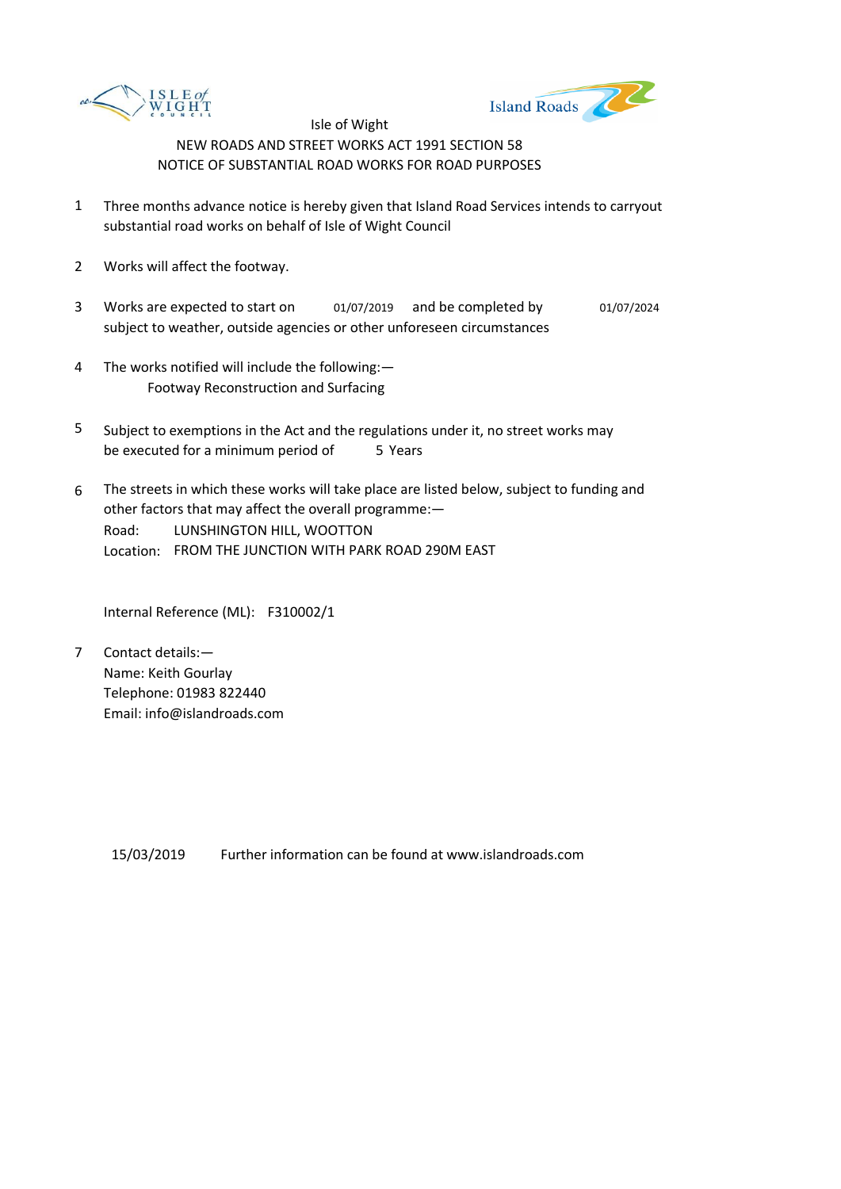



- 1 Three months advance notice is hereby given that Island Road Services intends to carryout substantial road works on behalf of Isle of Wight Council
- 2 Works will affect the footway.
- 3 Works are expected to start on and be completed by 01/07/2019 01/07/2024 subject to weather, outside agencies or other unforeseen circumstances
- 4 The works notified will include the following:— Footway Reconstruction and Surfacing
- 5 be executed for a minimum period of 5 Years Subject to exemptions in the Act and the regulations under it, no street works may
- 6 Road: Location: FROM THE JUNCTION WITH PARK ROAD 290M EAST The streets in which these works will take place are listed below, subject to funding and other factors that may affect the overall programme:— LUNSHINGTON HILL, WOOTTON

Internal Reference (ML): F310002/1

7 Contact details:— Name: Keith Gourlay Telephone: 01983 822440 Email: info@islandroads.com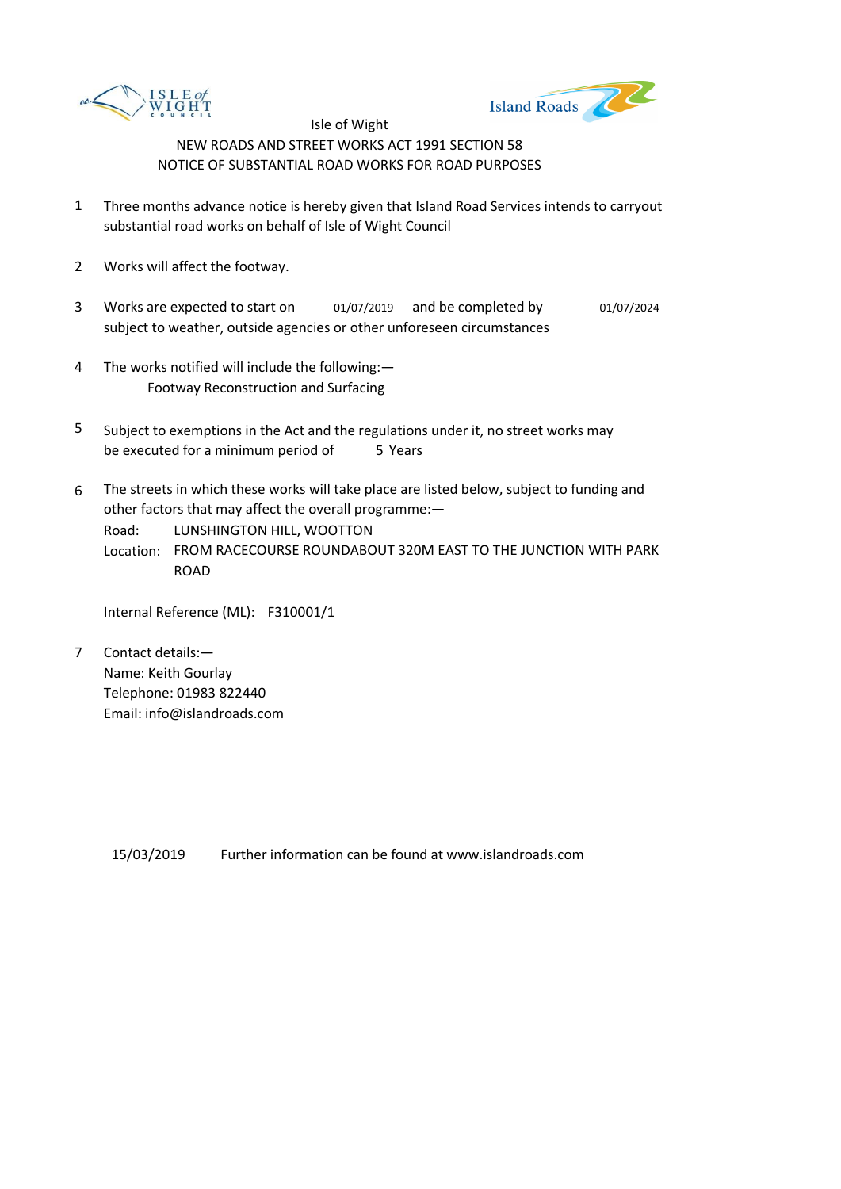



- 1 Three months advance notice is hereby given that Island Road Services intends to carryout substantial road works on behalf of Isle of Wight Council
- 2 Works will affect the footway.
- 3 Works are expected to start on and be completed by 01/07/2019 01/07/2024 subject to weather, outside agencies or other unforeseen circumstances
- 4 The works notified will include the following:— Footway Reconstruction and Surfacing
- 5 be executed for a minimum period of 5 Years Subject to exemptions in the Act and the regulations under it, no street works may
- 6 The streets in which these works will take place are listed below, subject to funding and other factors that may affect the overall programme:—

Road: LUNSHINGTON HILL, WOOTTON

Location: FROM RACECOURSE ROUNDABOUT 320M EAST TO THE JUNCTION WITH PARK ROAD

Internal Reference (ML): F310001/1

7 Contact details:— Name: Keith Gourlay Telephone: 01983 822440 Email: info@islandroads.com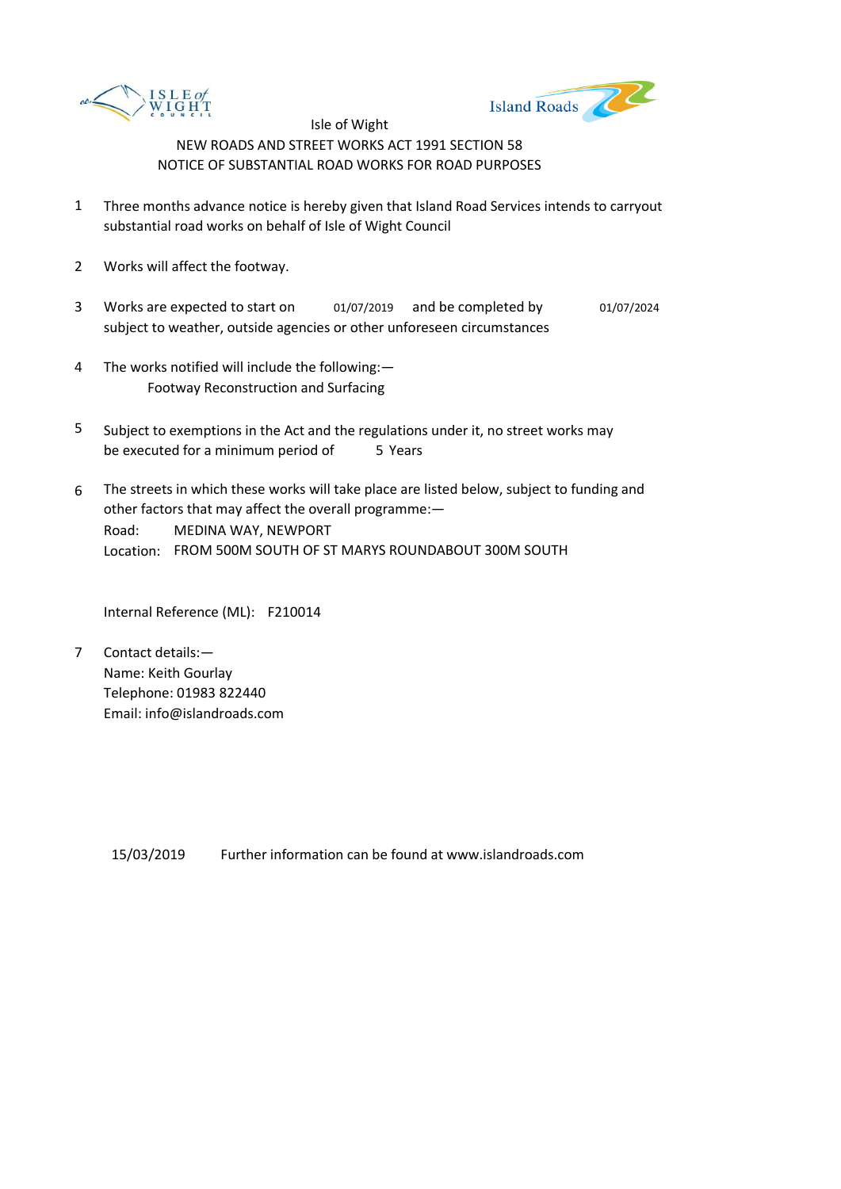



- 1 Three months advance notice is hereby given that Island Road Services intends to carryout substantial road works on behalf of Isle of Wight Council
- 2 Works will affect the footway.
- 3 Works are expected to start on and be completed by 01/07/2019 01/07/2024 subject to weather, outside agencies or other unforeseen circumstances
- 4 The works notified will include the following:— Footway Reconstruction and Surfacing
- 5 be executed for a minimum period of 5 Years Subject to exemptions in the Act and the regulations under it, no street works may
- 6 Road: Location: FROM 500M SOUTH OF ST MARYS ROUNDABOUT 300M SOUTH The streets in which these works will take place are listed below, subject to funding and other factors that may affect the overall programme:— MEDINA WAY, NEWPORT

Internal Reference (ML): F210014

7 Contact details:— Name: Keith Gourlay Telephone: 01983 822440 Email: info@islandroads.com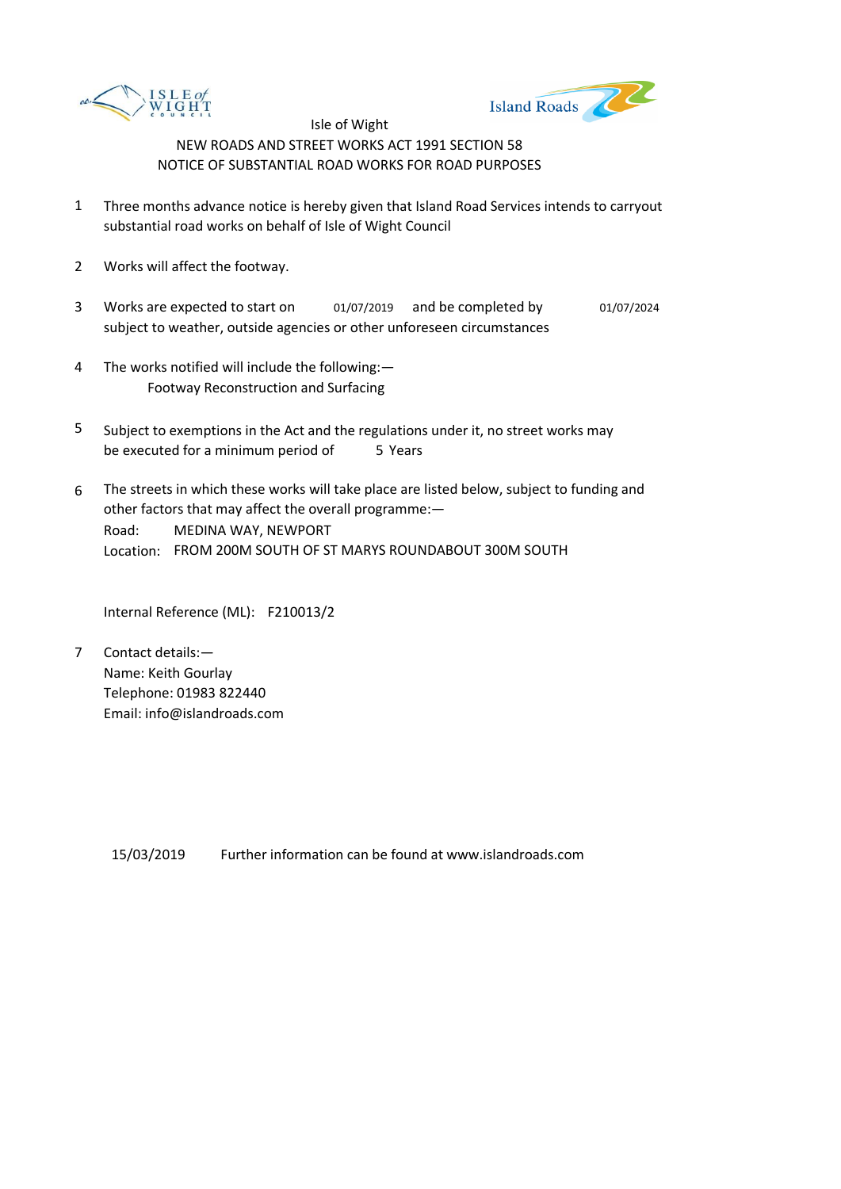



- 1 Three months advance notice is hereby given that Island Road Services intends to carryout substantial road works on behalf of Isle of Wight Council
- 2 Works will affect the footway.
- 3 Works are expected to start on and be completed by 01/07/2019 01/07/2024 subject to weather, outside agencies or other unforeseen circumstances
- 4 The works notified will include the following:— Footway Reconstruction and Surfacing
- 5 be executed for a minimum period of 5 Years Subject to exemptions in the Act and the regulations under it, no street works may
- 6 Road: Location: FROM 200M SOUTH OF ST MARYS ROUNDABOUT 300M SOUTH The streets in which these works will take place are listed below, subject to funding and other factors that may affect the overall programme:— MEDINA WAY, NEWPORT

Internal Reference (ML): F210013/2

7 Contact details:— Name: Keith Gourlay Telephone: 01983 822440 Email: info@islandroads.com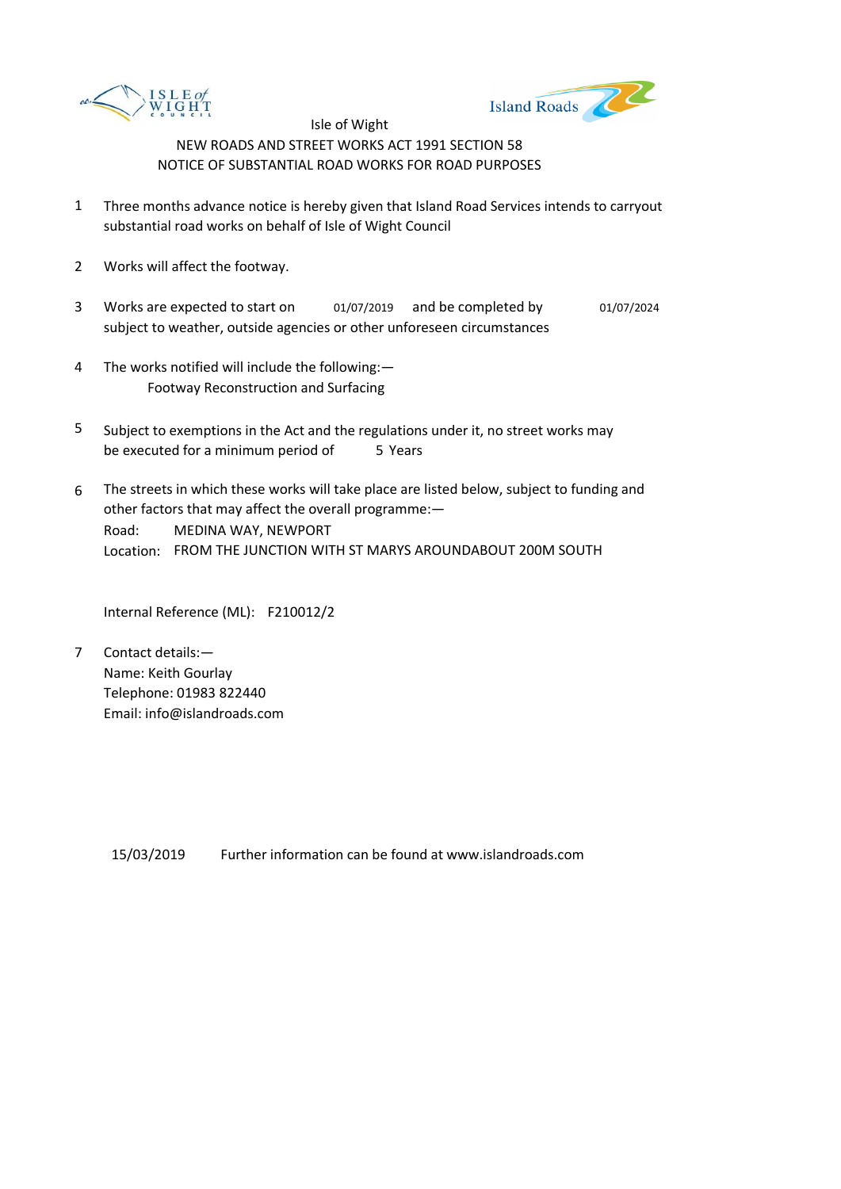



- 1 Three months advance notice is hereby given that Island Road Services intends to carryout substantial road works on behalf of Isle of Wight Council
- 2 Works will affect the footway.
- 3 Works are expected to start on and be completed by 01/07/2019 01/07/2024 subject to weather, outside agencies or other unforeseen circumstances
- 4 The works notified will include the following:— Footway Reconstruction and Surfacing
- 5 be executed for a minimum period of 5 Years Subject to exemptions in the Act and the regulations under it, no street works may
- 6 Road: Location: FROM THE JUNCTION WITH ST MARYS AROUNDABOUT 200M SOUTH The streets in which these works will take place are listed below, subject to funding and other factors that may affect the overall programme:— MEDINA WAY, NEWPORT

Internal Reference (ML): F210012/2

7 Contact details:— Name: Keith Gourlay Telephone: 01983 822440 Email: info@islandroads.com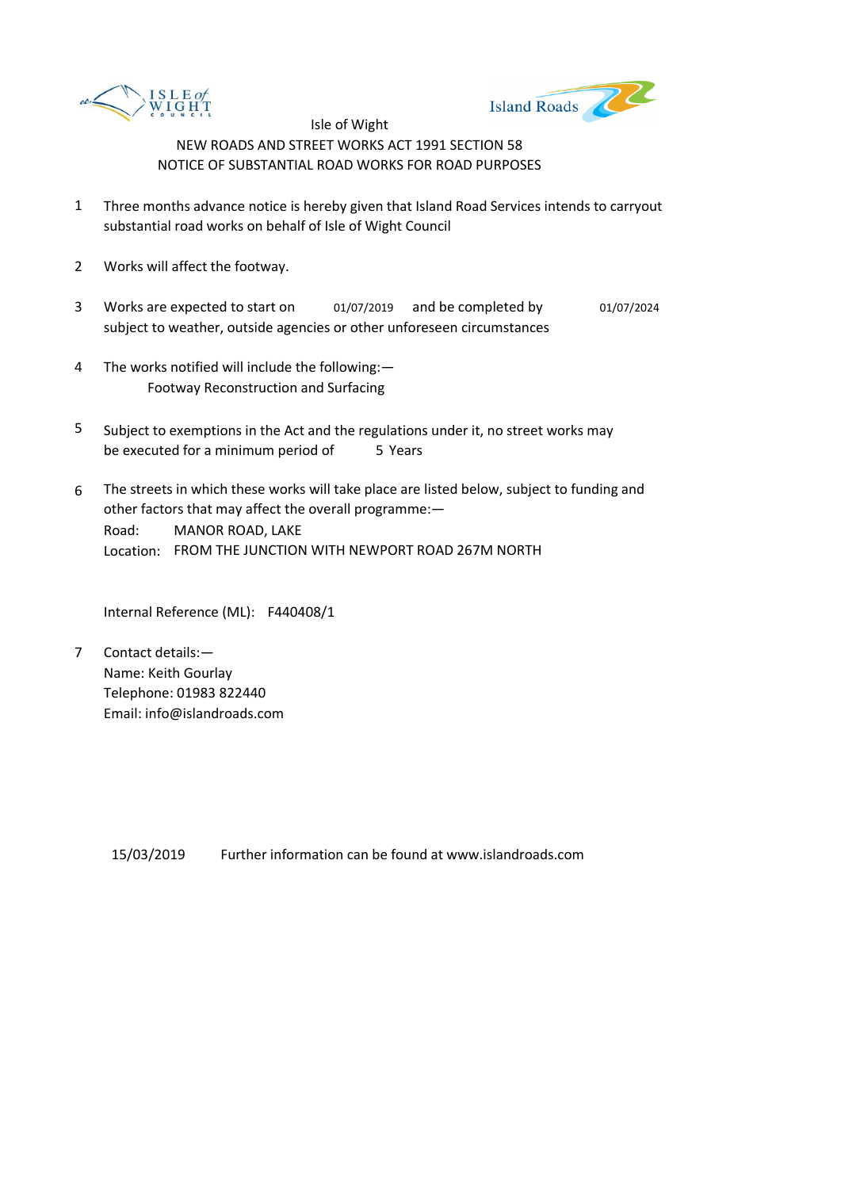



- 1 Three months advance notice is hereby given that Island Road Services intends to carryout substantial road works on behalf of Isle of Wight Council
- 2 Works will affect the footway.
- 3 Works are expected to start on and be completed by 01/07/2019 01/07/2024 subject to weather, outside agencies or other unforeseen circumstances
- 4 The works notified will include the following:— Footway Reconstruction and Surfacing
- 5 be executed for a minimum period of 5 Years Subject to exemptions in the Act and the regulations under it, no street works may
- 6 Road: Location: FROM THE JUNCTION WITH NEWPORT ROAD 267M NORTH The streets in which these works will take place are listed below, subject to funding and other factors that may affect the overall programme:— MANOR ROAD, LAKE

Internal Reference (ML): F440408/1

7 Contact details:— Name: Keith Gourlay Telephone: 01983 822440 Email: info@islandroads.com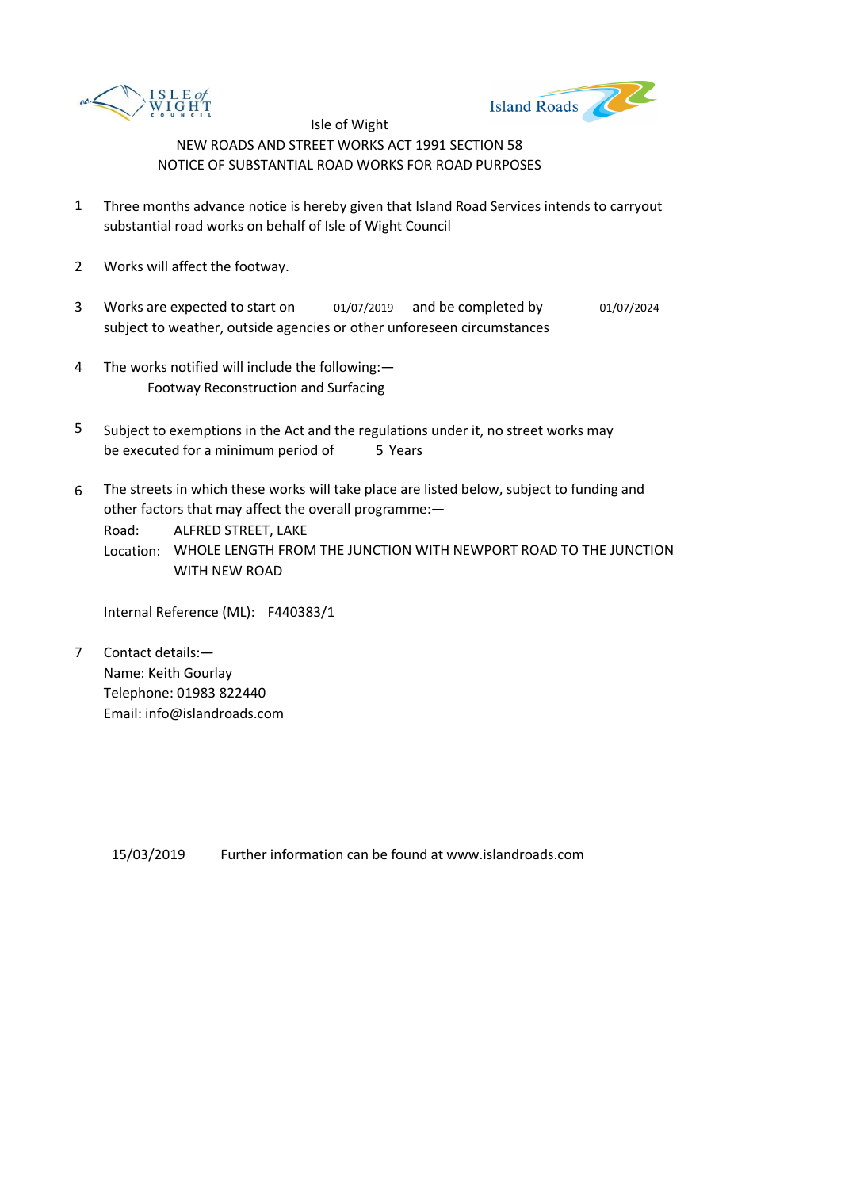



- 1 Three months advance notice is hereby given that Island Road Services intends to carryout substantial road works on behalf of Isle of Wight Council
- 2 Works will affect the footway.
- 3 Works are expected to start on and be completed by 01/07/2019 01/07/2024 subject to weather, outside agencies or other unforeseen circumstances
- 4 The works notified will include the following:— Footway Reconstruction and Surfacing
- 5 be executed for a minimum period of 5 Years Subject to exemptions in the Act and the regulations under it, no street works may
- 6 The streets in which these works will take place are listed below, subject to funding and other factors that may affect the overall programme:—

Road: ALFRED STREET, LAKE

Location: WHOLE LENGTH FROM THE JUNCTION WITH NEWPORT ROAD TO THE JUNCTION WITH NEW ROAD

Internal Reference (ML): F440383/1

7 Contact details:— Name: Keith Gourlay Telephone: 01983 822440 Email: info@islandroads.com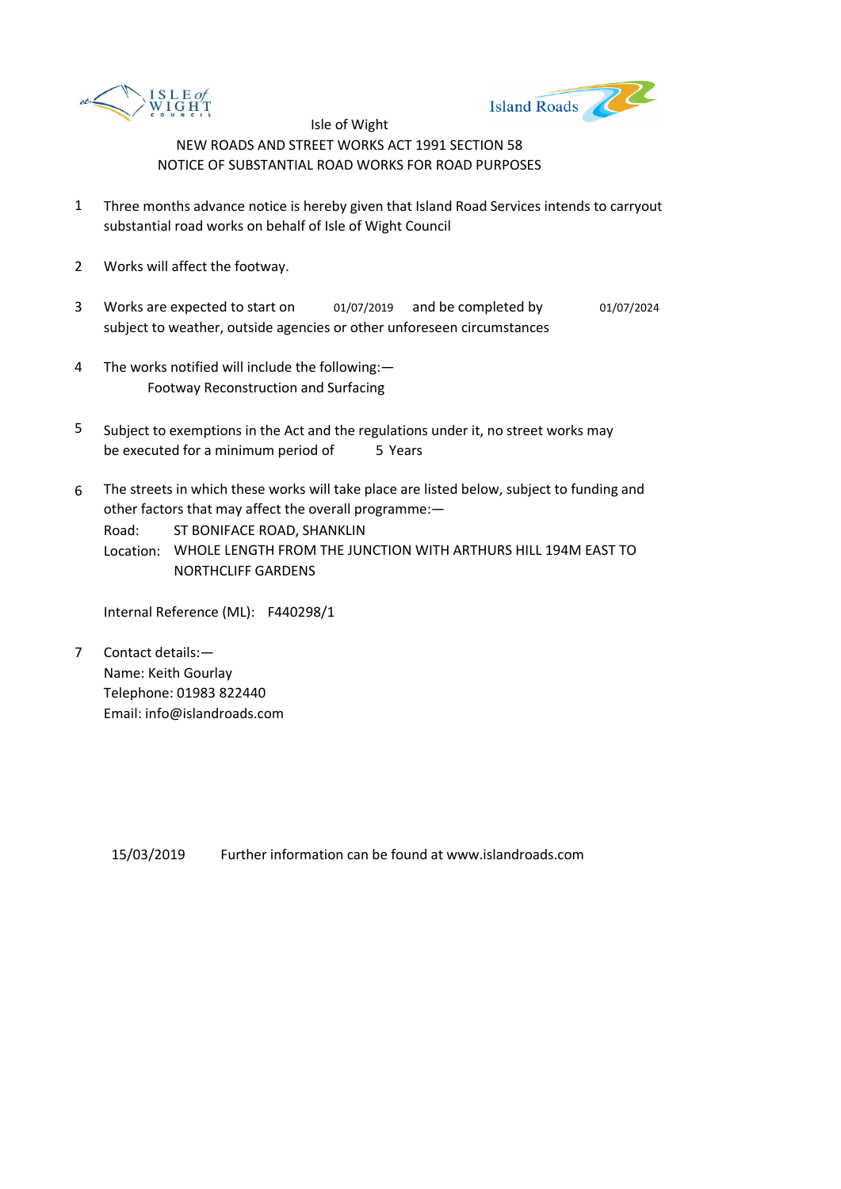



- 1 Three months advance notice is hereby given that Island Road Services intends to carryout substantial road works on behalf of Isle of Wight Council
- 2 Works will affect the footway.
- 3 Works are expected to start on and be completed by 01/07/2019 01/07/2024 subject to weather, outside agencies or other unforeseen circumstances
- 4 The works notified will include the following:— Footway Reconstruction and Surfacing
- 5 be executed for a minimum period of 5 Years Subject to exemptions in the Act and the regulations under it, no street works may
- 6 The streets in which these works will take place are listed below, subject to funding and other factors that may affect the overall programme:—

Road: ST BONIFACE ROAD, SHANKLIN

Location: WHOLE LENGTH FROM THE JUNCTION WITH ARTHURS HILL 194M EAST TO NORTHCLIFF GARDENS

Internal Reference (ML): F440298/1

7 Contact details:— Name: Keith Gourlay Telephone: 01983 822440 Email: info@islandroads.com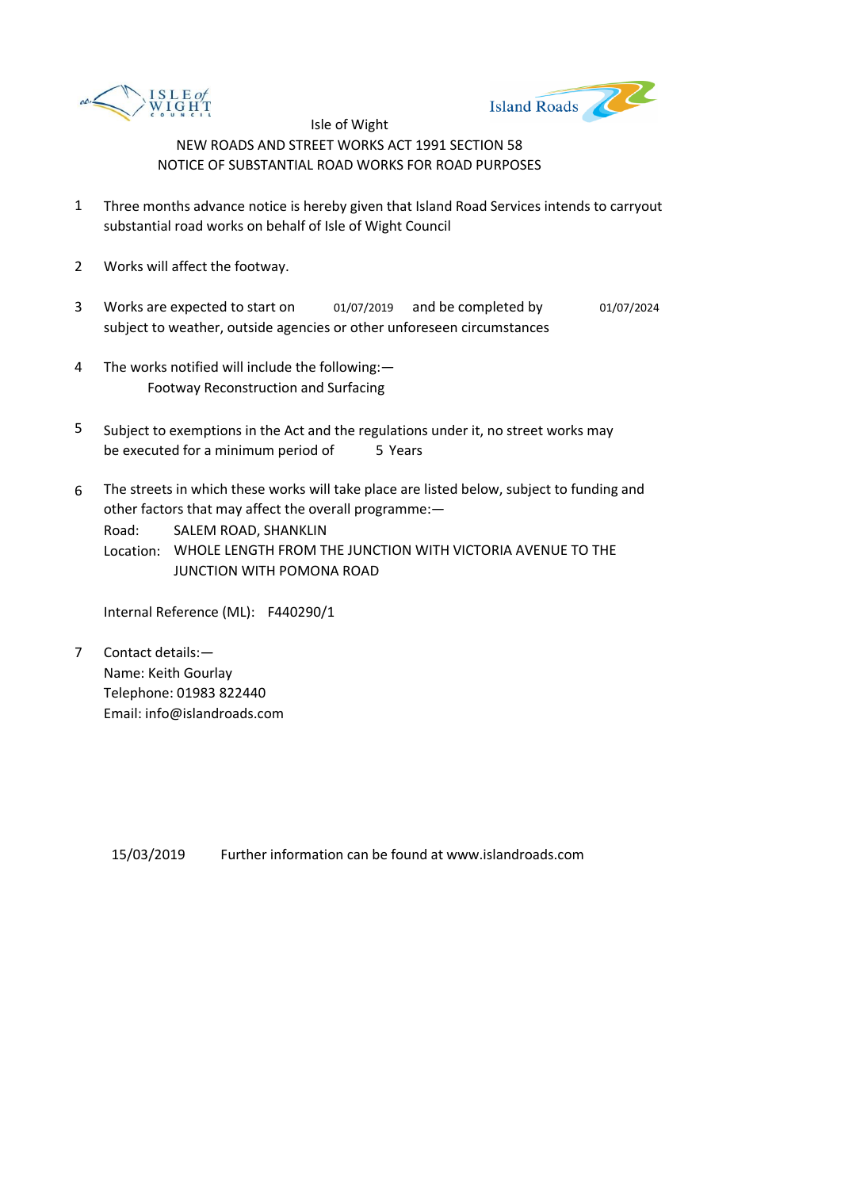



- 1 Three months advance notice is hereby given that Island Road Services intends to carryout substantial road works on behalf of Isle of Wight Council
- 2 Works will affect the footway.
- 3 Works are expected to start on and be completed by 01/07/2019 01/07/2024 subject to weather, outside agencies or other unforeseen circumstances
- 4 The works notified will include the following:— Footway Reconstruction and Surfacing
- 5 be executed for a minimum period of 5 Years Subject to exemptions in the Act and the regulations under it, no street works may
- 6 The streets in which these works will take place are listed below, subject to funding and other factors that may affect the overall programme:—

Road: SALEM ROAD, SHANKLIN

Location: WHOLE LENGTH FROM THE JUNCTION WITH VICTORIA AVENUE TO THE JUNCTION WITH POMONA ROAD

Internal Reference (ML): F440290/1

7 Contact details:— Name: Keith Gourlay Telephone: 01983 822440 Email: info@islandroads.com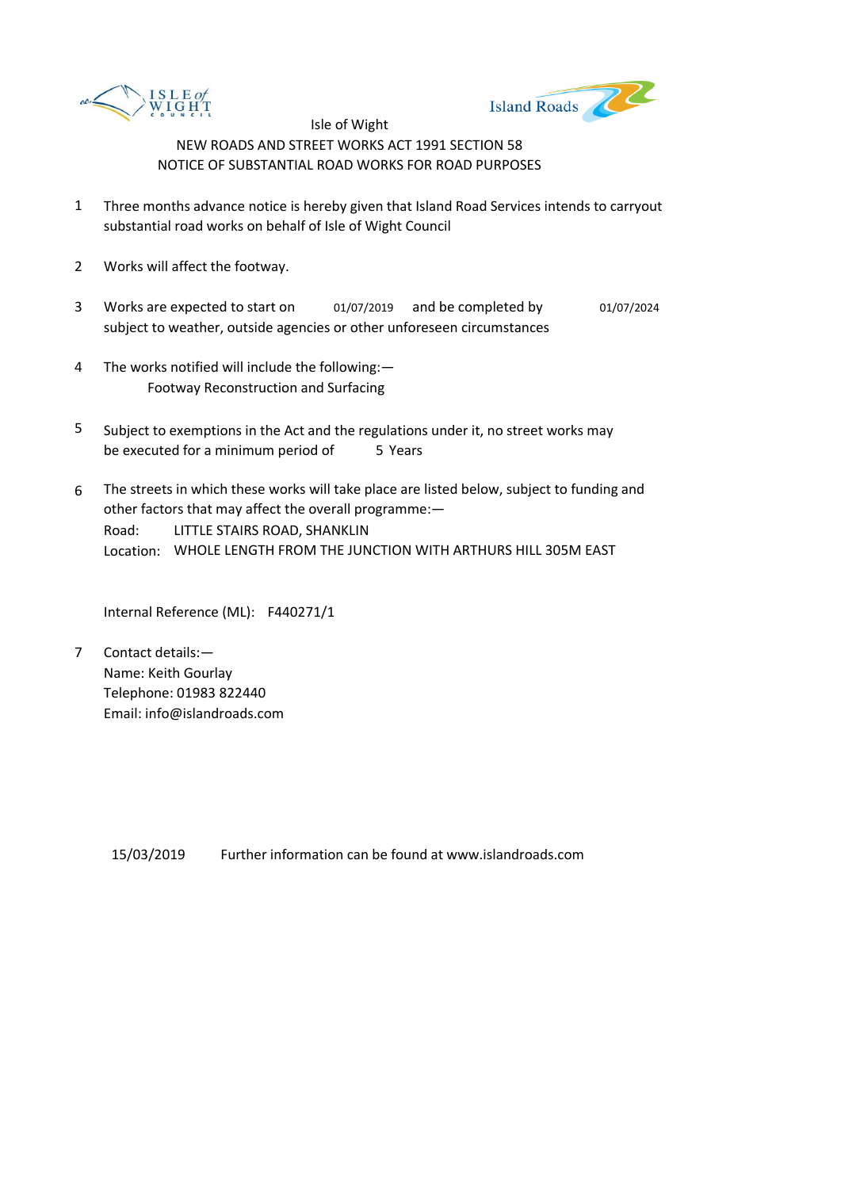



- 1 Three months advance notice is hereby given that Island Road Services intends to carryout substantial road works on behalf of Isle of Wight Council
- 2 Works will affect the footway.
- 3 Works are expected to start on and be completed by 01/07/2019 01/07/2024 subject to weather, outside agencies or other unforeseen circumstances
- 4 The works notified will include the following:— Footway Reconstruction and Surfacing
- 5 be executed for a minimum period of 5 Years Subject to exemptions in the Act and the regulations under it, no street works may
- 6 Road: Location: WHOLE LENGTH FROM THE JUNCTION WITH ARTHURS HILL 305M EAST The streets in which these works will take place are listed below, subject to funding and other factors that may affect the overall programme:— LITTLE STAIRS ROAD, SHANKLIN

Internal Reference (ML): F440271/1

7 Contact details:— Name: Keith Gourlay Telephone: 01983 822440 Email: info@islandroads.com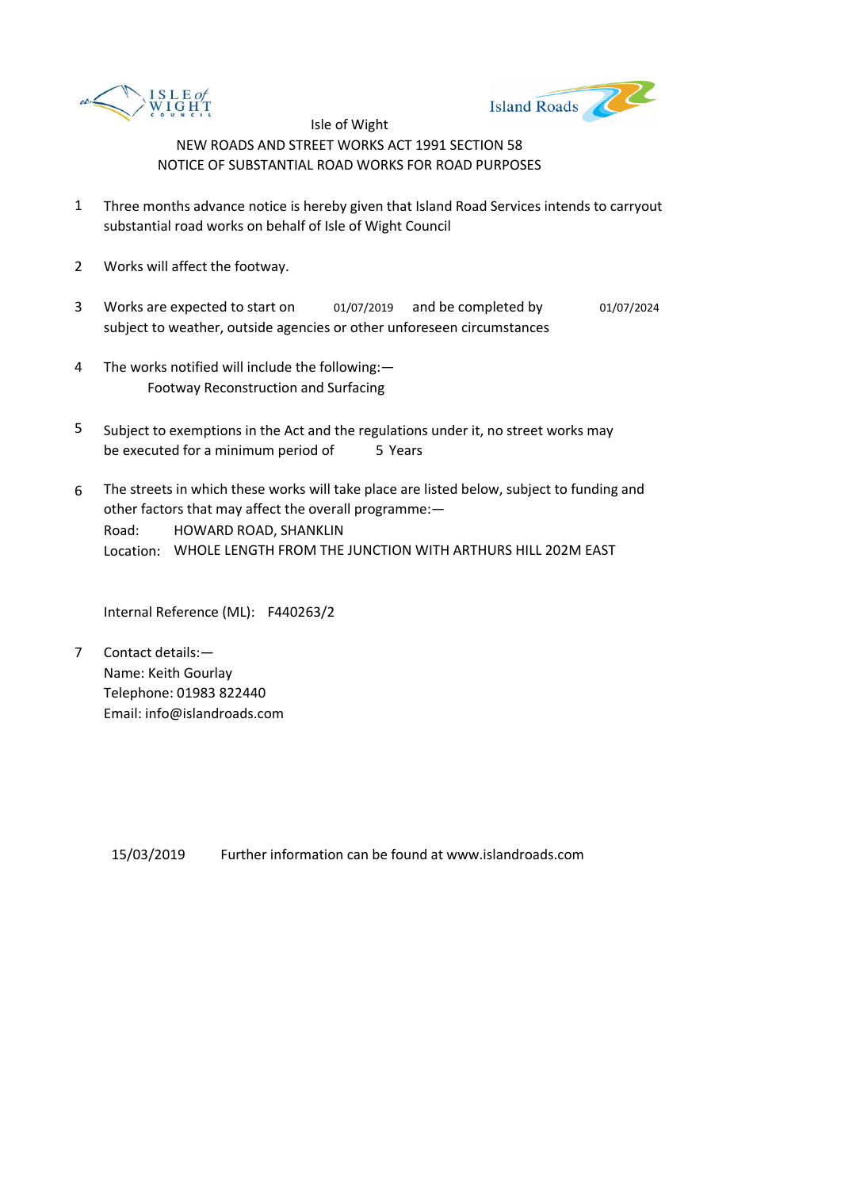



- 1 Three months advance notice is hereby given that Island Road Services intends to carryout substantial road works on behalf of Isle of Wight Council
- 2 Works will affect the footway.
- 3 Works are expected to start on and be completed by 01/07/2019 01/07/2024 subject to weather, outside agencies or other unforeseen circumstances
- 4 The works notified will include the following:— Footway Reconstruction and Surfacing
- 5 be executed for a minimum period of 5 Years Subject to exemptions in the Act and the regulations under it, no street works may
- 6 Road: Location: WHOLE LENGTH FROM THE JUNCTION WITH ARTHURS HILL 202M EAST The streets in which these works will take place are listed below, subject to funding and other factors that may affect the overall programme:— HOWARD ROAD, SHANKLIN

Internal Reference (ML): F440263/2

7 Contact details:— Name: Keith Gourlay Telephone: 01983 822440 Email: info@islandroads.com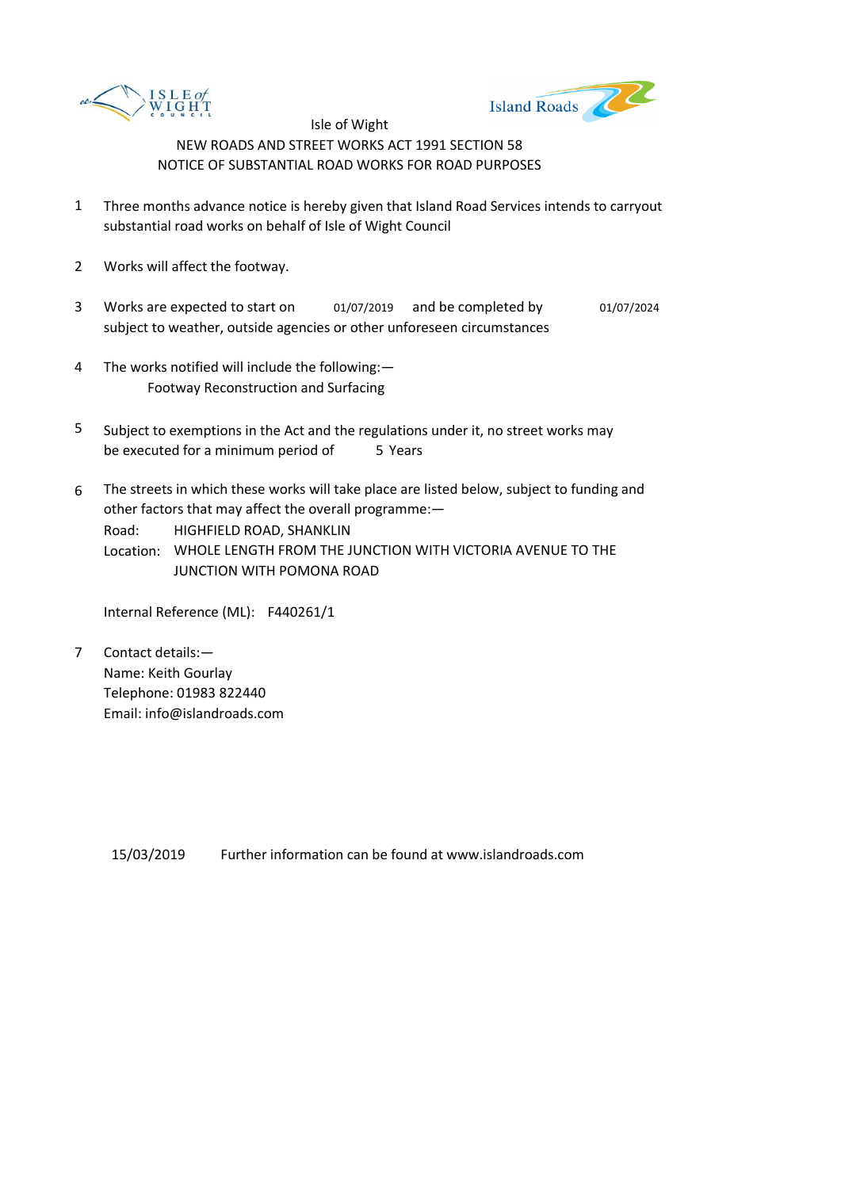



- 1 Three months advance notice is hereby given that Island Road Services intends to carryout substantial road works on behalf of Isle of Wight Council
- 2 Works will affect the footway.
- 3 Works are expected to start on and be completed by 01/07/2019 01/07/2024 subject to weather, outside agencies or other unforeseen circumstances
- 4 The works notified will include the following:— Footway Reconstruction and Surfacing
- 5 be executed for a minimum period of 5 Years Subject to exemptions in the Act and the regulations under it, no street works may
- 6 Road: The streets in which these works will take place are listed below, subject to funding and other factors that may affect the overall programme:— HIGHFIELD ROAD, SHANKLIN

Location: WHOLE LENGTH FROM THE JUNCTION WITH VICTORIA AVENUE TO THE JUNCTION WITH POMONA ROAD

Internal Reference (ML): F440261/1

7 Contact details:— Name: Keith Gourlay Telephone: 01983 822440 Email: info@islandroads.com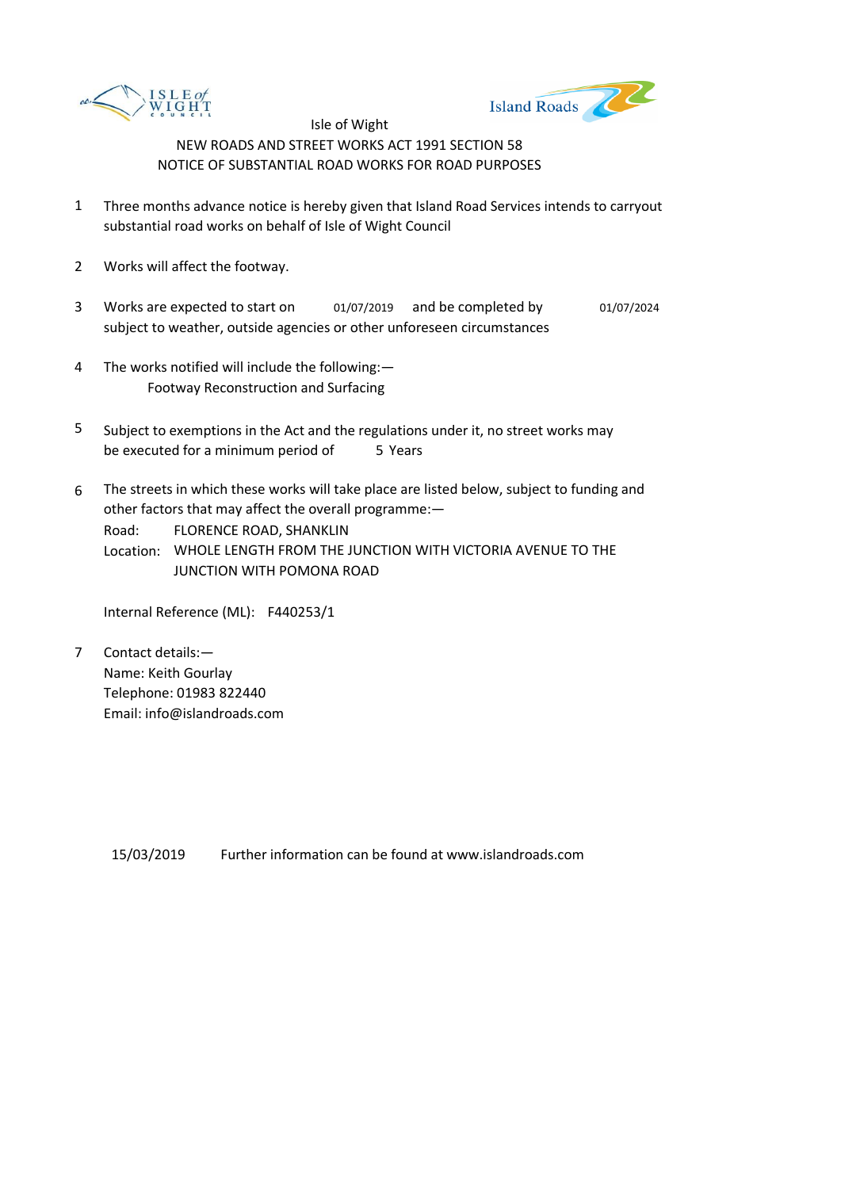



- 1 Three months advance notice is hereby given that Island Road Services intends to carryout substantial road works on behalf of Isle of Wight Council
- 2 Works will affect the footway.
- 3 Works are expected to start on and be completed by 01/07/2019 01/07/2024 subject to weather, outside agencies or other unforeseen circumstances
- 4 The works notified will include the following:— Footway Reconstruction and Surfacing
- 5 be executed for a minimum period of 5 Years Subject to exemptions in the Act and the regulations under it, no street works may
- 6 The streets in which these works will take place are listed below, subject to funding and other factors that may affect the overall programme:—

Road: FLORENCE ROAD, SHANKLIN

Location: WHOLE LENGTH FROM THE JUNCTION WITH VICTORIA AVENUE TO THE JUNCTION WITH POMONA ROAD

Internal Reference (ML): F440253/1

7 Contact details:— Name: Keith Gourlay Telephone: 01983 822440 Email: info@islandroads.com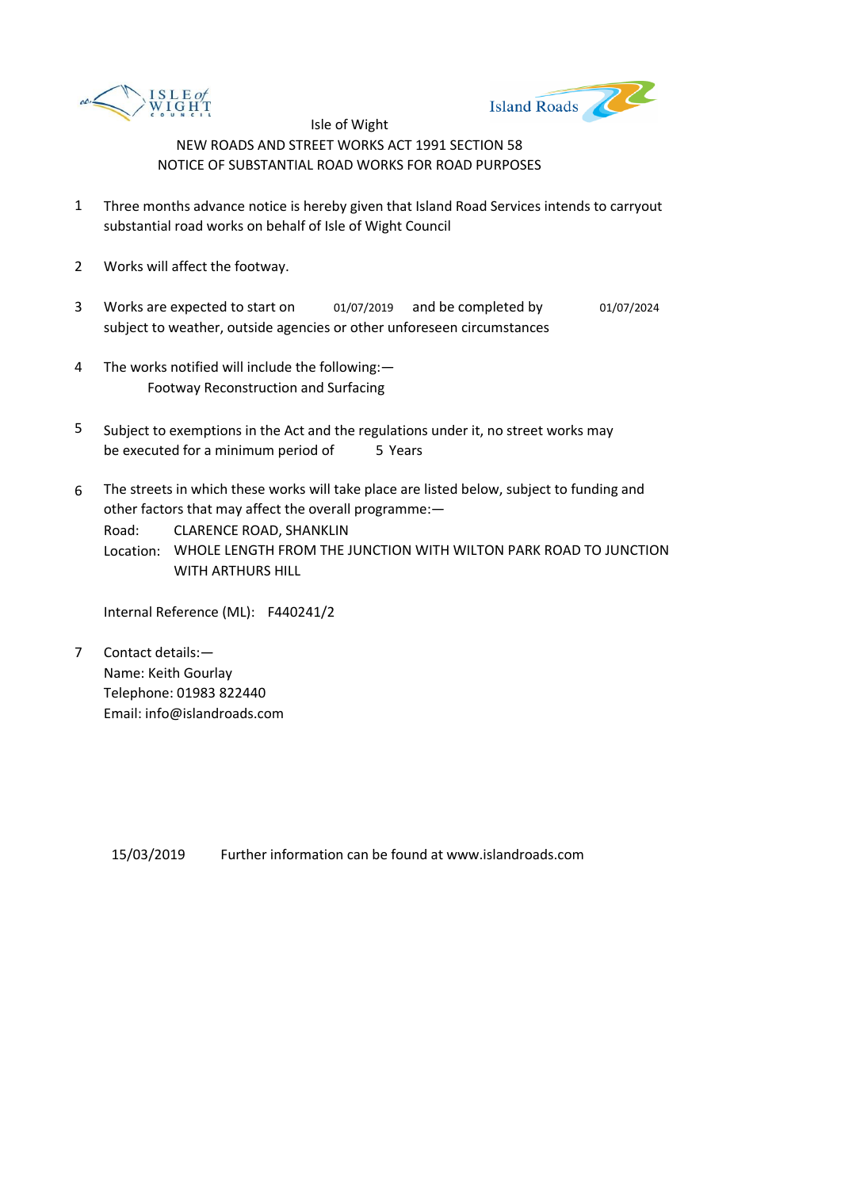



- 1 Three months advance notice is hereby given that Island Road Services intends to carryout substantial road works on behalf of Isle of Wight Council
- 2 Works will affect the footway.
- 3 Works are expected to start on and be completed by 01/07/2019 01/07/2024 subject to weather, outside agencies or other unforeseen circumstances
- 4 The works notified will include the following:— Footway Reconstruction and Surfacing
- 5 be executed for a minimum period of 5 Years Subject to exemptions in the Act and the regulations under it, no street works may
- 6 The streets in which these works will take place are listed below, subject to funding and other factors that may affect the overall programme:—

Road: CLARENCE ROAD, SHANKLIN

Location: WHOLE LENGTH FROM THE JUNCTION WITH WILTON PARK ROAD TO JUNCTION WITH ARTHURS HILL

Internal Reference (ML): F440241/2

7 Contact details:— Name: Keith Gourlay Telephone: 01983 822440 Email: info@islandroads.com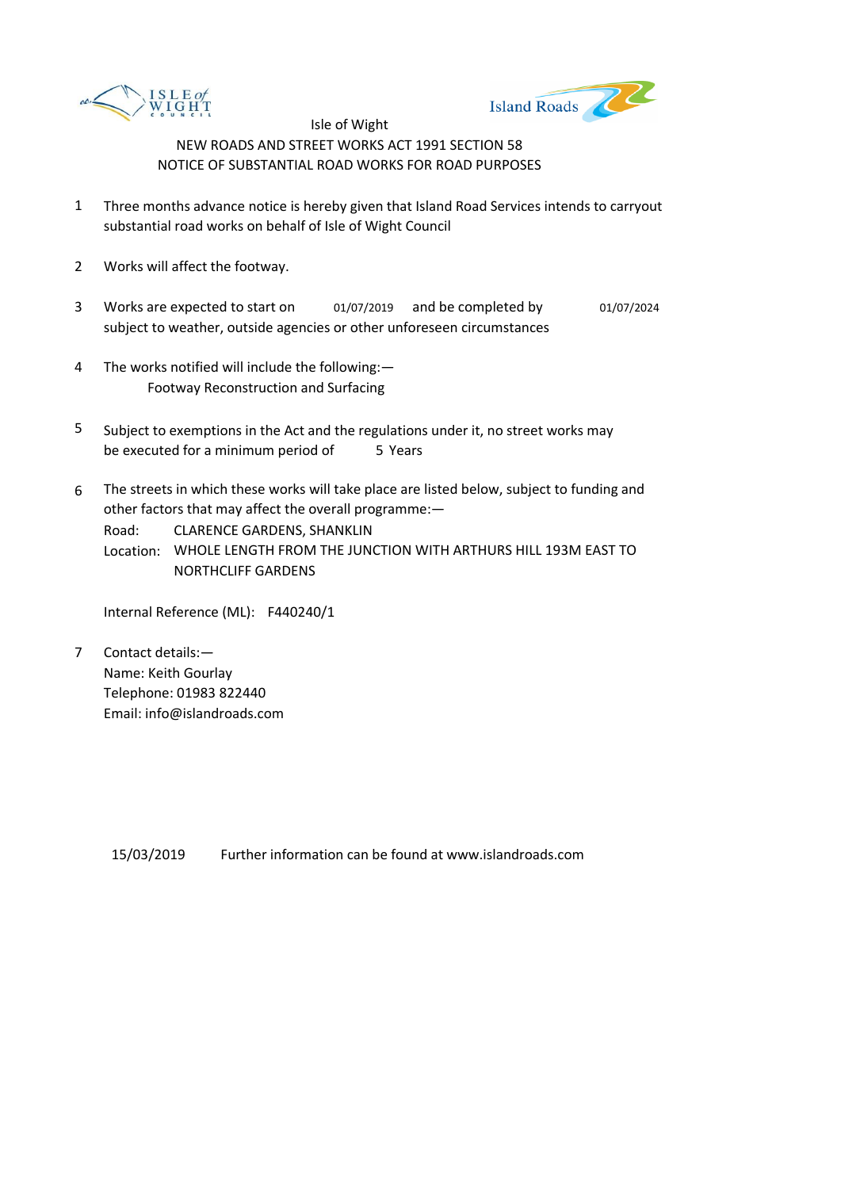



- 1 Three months advance notice is hereby given that Island Road Services intends to carryout substantial road works on behalf of Isle of Wight Council
- 2 Works will affect the footway.
- 3 Works are expected to start on and be completed by 01/07/2019 01/07/2024 subject to weather, outside agencies or other unforeseen circumstances
- 4 The works notified will include the following:— Footway Reconstruction and Surfacing
- 5 be executed for a minimum period of 5 Years Subject to exemptions in the Act and the regulations under it, no street works may
- 6 The streets in which these works will take place are listed below, subject to funding and other factors that may affect the overall programme:—

Road: CLARENCE GARDENS, SHANKLIN

Location: WHOLE LENGTH FROM THE JUNCTION WITH ARTHURS HILL 193M EAST TO NORTHCLIFF GARDENS

Internal Reference (ML): F440240/1

7 Contact details:— Name: Keith Gourlay Telephone: 01983 822440 Email: info@islandroads.com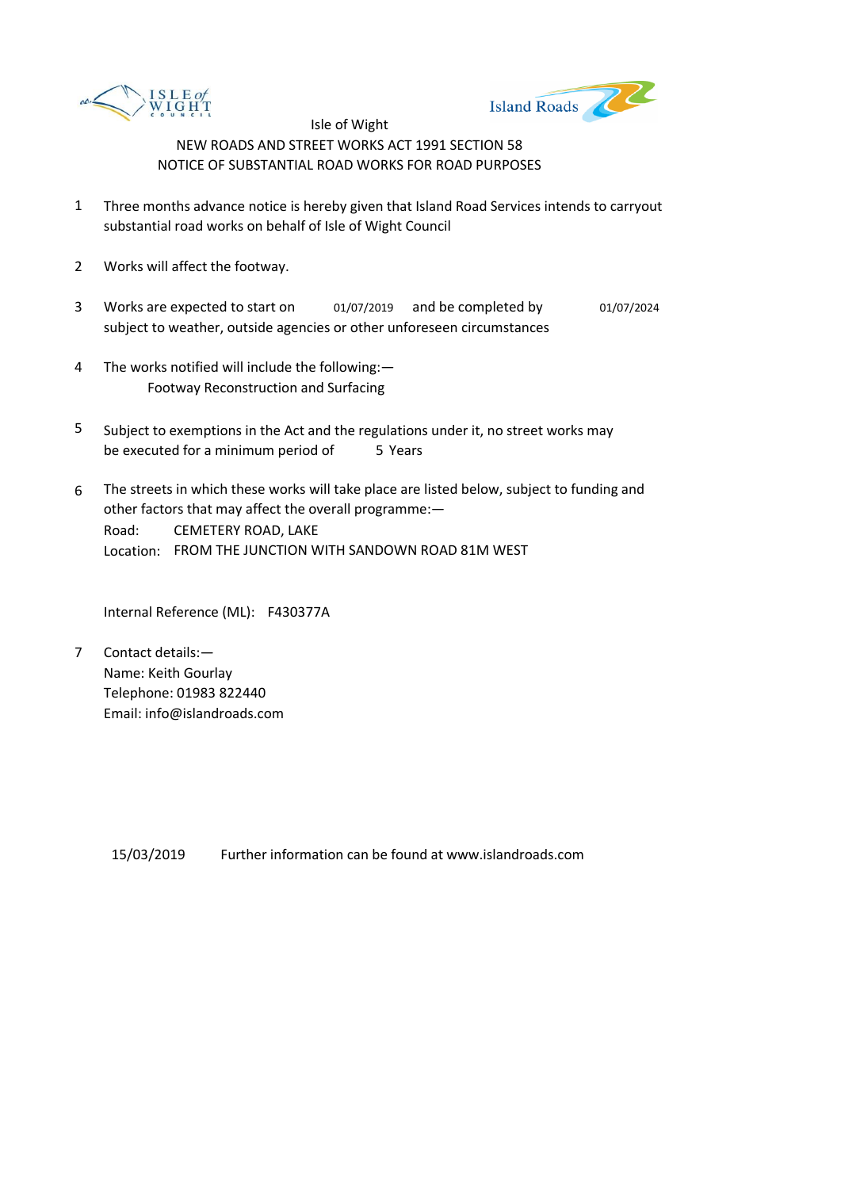



- 1 Three months advance notice is hereby given that Island Road Services intends to carryout substantial road works on behalf of Isle of Wight Council
- 2 Works will affect the footway.
- 3 Works are expected to start on and be completed by 01/07/2019 01/07/2024 subject to weather, outside agencies or other unforeseen circumstances
- 4 The works notified will include the following:— Footway Reconstruction and Surfacing
- 5 be executed for a minimum period of 5 Years Subject to exemptions in the Act and the regulations under it, no street works may
- 6 Road: Location: FROM THE JUNCTION WITH SANDOWN ROAD 81M WEST The streets in which these works will take place are listed below, subject to funding and other factors that may affect the overall programme:— CEMETERY ROAD, LAKE

Internal Reference (ML): F430377A

7 Contact details:— Name: Keith Gourlay Telephone: 01983 822440 Email: info@islandroads.com